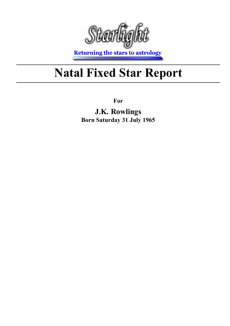

**Returning the stars to astrology** 

## Natal Fixed Star Report

For

J.K. Rowlings Born Saturday 31 July 1965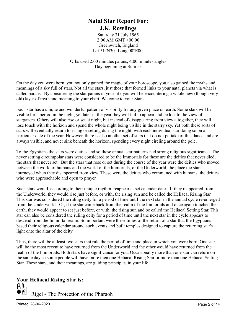#### Natal Star Report For: J.K. Rowlings

Saturday 31 July 1965 2:00 AM GMT +00:00 Greenwitch, England Lat 51°N30', Long 00°E00'

Orbs used 2.00 minutes parans, 4.00 minutes angles Day beginning at Sunrise

On the day you were born, you not only gained the magic of your horoscope, you also gained the myths and meanings of a sky full of stars. Not all the stars, just those that formed links to your natal planets via what is called parans. By considering the star parans in your life you will be encountering a whole new (though very old) layer of myth and meaning to your chart. Welcome to your Stars.

Each star has a unique and wonderful pattern of visibility for any given place on earth. Some stars will be visible for a period in the night, yet later in the year they will fail to appear and be lost to the view of stargazers. Others will also rise or set at night, but instead of disappearing from view altogether, they will lose touch with the horizon and spend the whole night being visible in the starry sky. Yet both these sorts of stars will eventually return to rising or setting during the night, with each individual star doing so on a particular date of the year. However, there is also another set of stars that do not partake of this dance and are always visible, and never sink beneath the horizon, spending every night circling around the pole.

To the Egyptians the stars were deities and so these annual star patterns had strong religious significance. The never setting circumpolar stars were considered to be the Immortals for these are the deities that never died, the stars that never set. But the stars that rose or set during the course of the year were the deities who moved between the world of humans and the world of the Immortals, or the Underworld, the place the stars journeyed when they disappeared from view. These were the deities who communed with humans, the deities who were approachable and open to prayer.

Such stars would, according to their unique rhythm, reappear at set calendar dates. If they reappeared from the Underworld, they would rise just before, or with, the rising sun and be called the Heliacal Rising Star. This star was considered the ruling deity for a period of time until the next star in the annual cycle re-emerged from the Underworld. Or, if the star came back from the realm of the Immortals and once again touched the earth, they would appear to set just before, or with, the rising sun and be called the Heliacal Setting Star. This star can also be considered the ruling deity for a period of time until the next star in the cycle appears to descend from the Immortal realm. So important were these times of the return of a star that the Egyptians based their religious calendar around such events and built temples designed to capture the returning star's light onto the altar of the deity.

Thus, there will be at least two stars that rule the period of time and place in which you were born. One star will be the most recent to have returned from the Underworld and the other would have returned from the realm of the Immortals. Both stars have significance for you. Occasionally more than one star can return on the same day so some people will have more then one Heliacal Rising Star or more than one Heliacal Setting Star. These stars, and their meanings, are guiding principles in your life.

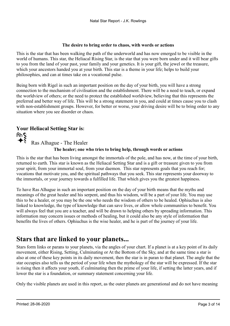#### The desire to bring order to chaos, with words or actions

This is the star that has been walking the path of the underworld and has now emerged to be visible in the world of humans. This star, the Heliacal Rising Star, is the star that you were born under and it will bear gifts to you from the land of your past, your family and your genetics. It is your gift, the jewel or the treasure, which your ancestors handed you at your birth. This star is a theme in your life; helps to build your philosophies, and can at times take on a vocational pulse.

Being born with Rigel in such an important position on the day of your birth, you will have a strong connection to the mechanism of civilisation and the establishment. There will be a need to teach, or expand the worldview of others; or the need to protect the established worldview, believing that this represents the preferred and better way of life. This will be a strong statement in you, and could at times cause you to clash with non-establishment groups. However, for better or worse, your driving desire will be to bring order to any situation where you see disorder or chaos.

#### Your Heliacal Setting Star is:

 $R_{\text{Ras Alhague}}^{\text{Ras Alhague}}$  The Healer

#### The healer; one who tries to bring help, through words or actions

This is the star that has been living amongst the immortals of the pole, and has now, at the time of your birth, returned to earth. This star is known as the Heliacal Setting Star and is a gift or treasure given to you from your spirit, from your immortal soul, from your daemon. This star represents goals that you reach for; vocations that motivate you, and the spiritual pathways that you seek. This star represents your doorway to the immortals, or your journey towards a fulfilled life. That which gives you the greatest happiness.

To have Ras Alhague in such an important position on the day of your birth means that the myths and meanings of the great healer and his serpent, and thus his wisdom, will be a part of your life. You may use this to be a healer, or you may be the one who needs the wisdom of others to be healed. Ophiuchus is also linked to knowledge, the type of knowledge that can save lives, or allow whole communities to benefit. You will always feel that you are a teacher, and will be drawn to helping others by spreading information. This information may concern issues or methods of healing, but it could also be any style of information that benefits the lives of others. Ophiuchus is the wise healer, and he is part of the journey of your life.

### Stars that are linked to your planets...

Stars form links or parans to your planets, via the angles of your chart. If a planet is at a key point of its daily movement, either Rising, Setting, Culminating or At the Bottom of the Sky, and at the same time a star is also at one of these key points in its daily movement, then the star is in paran to that planet. The angle that the star occupies also tells us the period of your life when the mythology of the star will be expressed. If the star is rising then it affects your youth, if culminating then the prime of your life, if setting the latter years, and if lower the star is a foundation, or summary statement concerning your life.

Only the visible planets are used in this report, as the outer planets are generational and do not have meaning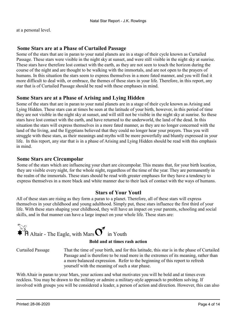at a personal level.

#### Some Stars are at a Phase of Curtailed Passage

Some of the stars that are in paran to your natal planets are in a stage of their cycle known as Curtailed Passage. These stars were visible in the night sky at sunset, and were still visible in the night sky at sunrise. These stars have therefore lost contact with the earth, as they are not seen to touch the horizon during the course of the night and are thought to be walking with the immortals, and are not open to the prayers of humans. In this situation the stars seem to express themselves in a more fated manner, and you will find it more difficult to deal with, or embrace, the themes of these stars in your life. Therefore, in this report, any star that is of Curtailed Passage should be read with these emphases in mind.

#### Some Stars are at a Phase of Arising and Lying Hidden

Some of the stars that are in paran to your natal planets are in a stage of their cycle known as Arising and Lying Hidden. These stars can at times be seen at the latitude of your birth, however, in this period of time they are not visible in the night sky at sunset, and will still not be visible in the night sky at sunrise. So these stars have lost contact with the earth, and have returned to the underworld, the land of the dead. In this situation the stars will express themselves in a more fated manner, as they are no longer concerned with the land of the living, and the Egyptians believed that they could no longer hear your prayers. Thus you will struggle with these stars, as their meanings and myths will be more powerfully and bluntly expressed in your life. In this report, any star that is in a phase of Arising and Lying Hidden should be read with this emphasis in mind.

#### Some Stars are Circumpolar

Some of the stars which are influencing your chart are circumpolar. This means that, for your birth location, they are visible every night, for the whole night, regardless of the time of the year. They are permanently in the realm of the immortals. These stars should be read with greater emphases for they have a tendency to express themselves in a more black and white manner due to their lack of contact with the ways of humans.

#### Stars of Your Youth

All of these stars are rising as they form a paran to a planet. Therefore, all of these stars will express themselves in your childhood and young adulthood. Simply put, these stars influence the first third of your life. With these stars shaping your childhood, they will have an impact on your parents, schooling and social skills, and in that manner can have a large impact on your whole life. These stars are:



That the time of your birth, and for this latitude, this star is in the phase of Curtailed Passage and is therefore to be read more in the extremes of its meaning, rather than a more balanced expression. Refer to the beginning of this report to refresh yourself with the meaning of such a star phase. Curtailed Passage

With Altair in paran to your Mars, your actions and what motivates you will be bold and at times even reckless. You may be drawn to the military or admire a military-style approach to problem solving. If involved with groups you will be considered a leader, a person of action and direction. However, this can also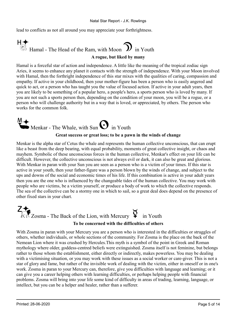lead to conflicts as not all around you may appreciate your forthrightness.

## $H \leftarrow$ <br> $\bigoplus_{i=1}^{\infty}$  Hamal - The Head of the Ram, with Moon  $\sum$  in Youth A rogue, but liked by many

Hamal is a forceful star of action and independence. A little like the meaning of the tropical zodiac sign Aries, it seems to enhance any planet it contacts with the strength of independence. With your Moon involved with Hamal, then the forthright independence of this star mixes with the qualities of caring, compassion and empathy. If active in your childhood, then your mother-figure has been a person who is easily angered and quick to act, or a person who has taught you the value of focused action. If active in your adult years, then you are likely to be something of a popular hero, a people's hero, a sports person who is loved by many. If you are not such a sports person then, depending on the condition of your moon, you will be a rogue, or a person who will challenge authority but in a way that is loved, or appreciated, by others. The person who works for the common folk.

## Menkar - The Whale, with Sun  $\bf{O}$  in Youth

#### Great success or great loss; to be a pawn in the winds of change

Menkar is the alpha star of Cetus the whale and represents the human collective unconscious, that can erupt like a beast from the deep bearing, with equal probability, moments of great collective insight, or chaos and mayhem. Symbolic of these unconscious forces in the human collective, Menkar's effect on your life can be difficult. However, the collective unconscious is not always evil or dark, it can also be great and glorious. With Menkar in paran with your Sun you are seen as a person who is a victim of your times. If this star is active in your youth, then your father-figure was a person blown by the winds of change, and subject to the ups and downs of the social and economic times of his life. If this combination is active in your adult years then you are the one who is influenced by the changeable tides of the human collective. You may work with people who are victims, be a victim yourself, or produce a body of work to which the collective responds. The sea of the collective can be a stormy one in which to sail, so a great deal does depend on the presence of other fixed stars in your chart.



### To be concerned with the difficulties of others

With Zosma in paran with your Mercury you are a person who is interested in the difficulties or struggles of others, whether individuals, or whole sections of the community. For Zosma is the place on the back of the Nemean Lion where it was crushed by Hercules.This myth is a symbol of the point in Greek and Roman mythology where older, goddess-centred beliefs were extinguished. Zosma itself is not feminine, but belongs rather to those whom the establishment, either directly or indirectly, makes powerless. You may be dealing with a victimising situation, or you may work with these issues as a social worker or care-giver. This is not a star of glory and fame, but rather of the invisible work of dealing with the victim, either in oneself or in one's work. Zosma in paran to your Mercury can, therefore, give you difficulties with language and learning; or it can give you a career helping others with learning difficulties, or perhaps helping people with financial problems. Zosma will bring into your life some kind of difficulty in areas of trading, learning, language, or intellect, but you can be a helper and healer, rather than a sufferer.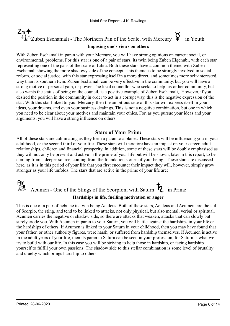## $Z_m$   $\uparrow$ <br> $\Box$   $\Box$   $\Box$   $\Box$   $\Box$   $\Box$   $\Box$  Eschamali - The Northern Pan of the Scale, with Mercury  $\Box$  in Youth

#### Imposing one's views on others

With Zuben Eschamali in paran with your Mercury, you will have strong opinions on current social, or environmental, problems. For this star is one of a pair of stars, its twin being Zuben Elgenubi, with each star representing one of the pans of the scale of Libra. Both these stars have a common theme, with Zuben Eschamali showing the more shadowy side of the concept. This theme is to be strongly involved in social reform, or social justice, with this star expressing itself in a more direct, and sometimes more self-interested, way than its southern twin. Zuben Eschamali can be very effective in the community, but you will have a strong motive of personal gain, or power. The local councillor who seeks to help his or her community, but also wants the status of being on the council, is a positive example of Zuben Eschamali,. However, if you desired the position in the community in order to act in a corrupt way, this is the negative expression of the star. With this star linked to your Mercury, then the ambitious side of this star will express itself in your ideas, your dreams, and even your business dealings. This is not a negative combination, but one in which you need to be clear about your motives and maintain your ethics. For, as you pursue your ideas and your arguments, you will have a strong influence on others.

#### Stars of Your Prime

All of these stars are culminating as they form a paran to a planet. These stars will be influencing you in your adulthood, or the second third of your life. These stars will therefore have an impact on your career, adult relationships, children and financial prosperity. In addition, some of these stars will be doubly emphasised as they will not only be present and active in the prime of your life but will be shown, later in this report, to be coming from a deeper source, coming from the foundation stones of your being. These stars are discussed here, as it is in this period of your life that you first encounter their impact they will, however, simply grow stronger as your life unfolds. The stars that are active in the prime of your life are:

### Am<br>Acumen - One of the Stings of the Scorpion, with Saturn  $\overline{R}$  in Prime Hardships in life, fuelling motivation or anger

This is one of a pair of nebulae its twin being Aculeus. Both of these stars, Aculeus and Acumen, are the tail of Scorpio, the sting, and tend to be linked to attacks, not only physical, but also mental, verbal or spiritual. Acumen carries the negative or shadow side, so there are attacks that weaken, attacks that can slowly but surely erode you. With Acumen in paran to your Saturn, you will battle against the hardships in your life or the hardships of others. If Acumen is linked to your Saturn in your childhood, then you may have found that your father, or other authority figures, were harsh, or suffered from hardship themselves. If Acumen is active in the adult years of your life, then its paran to Saturn can be seen in your profession, for Saturn is what we try to build with our life. In this case you will be striving to help those in hardship, or facing hardship yourself to fulfill your own passions. The shadow side to this stellar combination is some level of brutality and cruelty which brings hardship to others.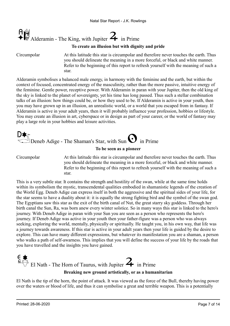

#### To create an illusion but with dignity and pride

Circumpolar

At this latitude this star is circumpolar and therefore never touches the earth. Thus you should delineate the meaning in a more forceful, or black and white manner. Refer to the beginning of this report to refresh yourself with the meaning of such a star.

Alderamin symbolises a balanced male energy, in harmony with the feminine and the earth, but within the context of focused, concentrated energy of the masculinity, rather than the more passive, intuitive energy of the feminine. Gentle power, receptive power. With Alderamin in paran with your Jupiter, then the old king of the sky is linked to the planet of sovereignty, yet his time has long passed. Thus such a stellar combination talks of an illusion: how things could be, or how they used to be. If Alderamin is active in your youth, then you may have grown up in an illusion, an unrealistic world, or a world that you escaped from in fantasy. If Alderamin is active in your adult years, then it will probably influence your profession, hobbies or lifestyle. You may create an illusion in art, cyberspace or in design as part of your career, or the world of fantasy may play a large role in your hobbies and leisure activities.

## $\mathbb{D}_{\mathsf{D}}$ eneb Adige - The Shaman's Star, with Sun  $\mathbf{\mathbf{O}}$  in Prime

#### To be seen as a pioneer

Circumpolar

At this latitude this star is circumpolar and therefore never touches the earth. Thus you should delineate the meaning in a more forceful, or black and white manner. Refer to the beginning of this report to refresh yourself with the meaning of such a star.

This is a very subtle star. It contains the strength and hostility of the swan, while at the same time holds within its symbolism the mystic, transcendental qualities embodied in shamanistic legends of the creation of the World Egg. Deneb Adige can express itself in both the aggressive and the spiritual sides of your life, for the star seems to have a duality about it: it is equally the strong fighting bird and the symbol of the swan god. The Egyptians saw this star as the exit of the birth canal of Nut, the great starry sky goddess. Through her birth canal the Sun, Ra, was born anew every winter solstice. So in many ways this star is linked to the hero's journey. With Deneb Adige in paran with your Sun you are seen as a person who represents the hero's journey. If Deneb Adige was active in your youth then your father-figure was a person who was always seeking, exploring the world, mentally, physically or spiritually. He taught you, in his own way, that life was a journey towards awareness. If this star is active in your adult years then your life is guided by the desire to explore. This can have many different expressions, but whatever its manifestation you are a shaman, a person who walks a path of self-awarness. This implies that you will define the success of your life by the roads that you have travelled and the insights you have gained.



El Nath is the tip of the horn, the point of attack. It was viewed as the force of the Bull, thereby having power over the waters or blood of life, and thus it can symbolise a great and terrible weapon. This is a potentially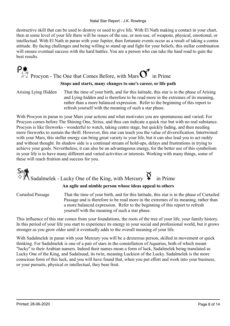#### Natal Star Report - J.K. Rowlings

destructive skill that can be used to destroy or used to give life. With El Nath making a contact in your chart, then at some level of your life there will be issues of the use, or non-use, of weapons, physical, emotional, or intellectual. With El Nath in paran with your Jupiter, then fortunate events occur as a result of taking a contra attitude. By facing challenges and being willing to stand up and fight for your beliefs, this stellar combination will ensure eventual success with the hard battles. You are a person who can take the hard road to gain the best results.

### **Procyon - The One that Comes Before, with Mars**  $\overrightarrow{O}$  **in Prime**

#### Stops and starts, many changes to one's career, or life path

Arising Lying Hidden

That the time of your birth, and for this latitude, this star is in the phase of Arising and Lying hidden and is therefore to be read more in the extremes of its meaning, rather than a more balanced expression. Refer to the beginning of this report to refresh yourself with the meaning of such a star phase.

With Procyon in paran to your Mars your actions and what motivates you are spontaneous and varied. For Procyon comes before The Shining One, Sirius, and thus can indicate a quick rise but with no real substance. Procyon is like fireworks - wonderful to watch, taking centre stage, but quickly fading, and then needing more fireworks to sustain the thrill. However, this star can teach you the value of diversification. Intertwined with your Mars, this stellar energy can bring great variety to your life, but it can also lead you to act rashly and without thought. Its shadow side is a continual stream of hold-ups, delays and frustrations in trying to achieve your goals. Nevertheless, it can also be an advantageous energy, for the better use of this symbolism in your life is to have many different and varied activities or interests. Working with many things, some of these will reach fruition and success for you.

## $\mathsf{S}_{\mathsf{m}}$   $\mathsf{S}_{\mathsf{A}}$  Sadalmelek - Lucky One of the King, with Mercury  $\mathsf{S}_{\mathsf{a}}$  in Prime

#### An agile and nimble person whose ideas appeal to others

Curtailed Passage

That the time of your birth, and for this latitude, this star is in the phase of Curtailed Passage and is therefore to be read more in the extremes of its meaning, rather than a more balanced expression. Refer to the beginning of this report to refresh yourself with the meaning of such a star phase.

This influence of this star comes from your foundations, the roots of the tree of your life, your family history. In this period of your life you start to experience its energy in your social and professional world, but it grows stronger as you grow older until it eventually adds to the overall meaning of your life.

With Sadalmelek in paran with your Mercury you will be a dexterous person, skilled in movement or quick thinking. For Sadalmelek is one of a pair of stars in the constellation of Aquarius, both of which meant "lucky" to their Arabian namers. Indeed their names mean a form of luck, Sadalmelek being translated as Lucky One of the King, and Sadalsuud, its twin, meaning Luckiest of the Lucky. Sadalmelek is the more conscious form of this luck, and you will have found that, when you put effort and work into your business, or your pursuits, physical or intellectual, they bear fruit.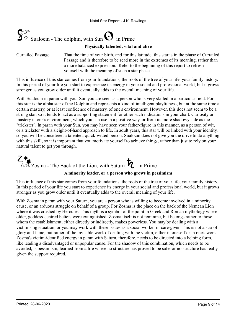

Physically talented, vital and alive

That the time of your birth, and for this latitude, this star is in the phase of Curtailed Passage and is therefore to be read more in the extremes of its meaning, rather than a more balanced expression. Refer to the beginning of this report to refresh yourself with the meaning of such a star phase. Curtailed Passage

This influence of this star comes from your foundations, the roots of the tree of your life, your family history. In this period of your life you start to experience its energy in your social and professional world, but it grows stronger as you grow older until it eventually adds to the overall meaning of your life.

With Sualocin in paran with your Sun you are seen as a person who is very skilled in a particular field. For this star is the alpha star of the Dolphin and represents a kind of intelligent playfulness, but at the same time a certain mastery, or at least confidence of mastery, of one's environment. However, this does not seem to be a strong star, so it tends to act as a supporting statement for other such indications in your chart. Curiosity or mastery in one's environment, which you can use in a positive way, or from its more shadowy side as the "trickster". In paran with your Sun, you may have seen your father-figure in this manner, as a person of wit, or a trickster with a sleight-of-hand approach to life. In adult years, this star will be linked with your identity, so you will be considered a talented, quick-witted person. Sualocin does not give you the drive to do anything with this skill, so it is important that you motivate yourself to achieve things, rather than just to rely on your natural talent to get you through.

# $\mathbb{Z}$  Zosma - The Back of the Lion, with Saturn  $\mathcal{L}$  in Prime

#### A minority leader, or a person who grows in pessimism

This influence of this star comes from your foundations, the roots of the tree of your life, your family history. In this period of your life you start to experience its energy in your social and professional world, but it grows stronger as you grow older until it eventually adds to the overall meaning of your life.

With Zosma in paran with your Saturn, you are a person who is willing to become involved in a minority cause, or an arduous struggle on behalf of a group. For Zosma is the place on the back of the Nemean Lion where it was crushed by Hercules. This myth is a symbol of the point in Greek and Roman mythology where older, goddess-centred beliefs were extinguished. Zosma itself is not feminine, but belongs rather to those whom the establishment, either directly or indirectly, makes powerless. You may be dealing with a victimising situation, or you may work with these issues as a social worker or care-giver. This is not a star of glory and fame, but rather of the invisible work of dealing with the victim, either in oneself or in one's work. Zosma's victim-identified energy in paran with Saturn, therefore, needs to be directed into a helping form, like leading a disadvantaged or unpopular cause. For the shadow of this combination, which needs to be avoided, is pessimism, learned from a life where no structure has proved to be safe, or no structure has really given the support required.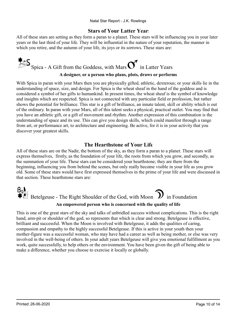#### Stars of Your Latter Years

All of these stars are setting as they form a paran to a planet. These stars will be influencing you in your later years or the last third of your life. They will be influential in the nature of your reputation, the manner in which you retire, and the autumn of your life, its joys or its sorrows. These stars are:



With Spica in paran with your Mars then you are physically gifted, athletic, dexterous; or your skills lie in the understanding of space, size, and design. For Spica is the wheat sheaf in the hand of the goddess and is considered a symbol of her gifts to humankind. In present times, the wheat sheaf is the symbol of knowledge and insights which are respected. Spica is not connected with any particular field or profession, but rather shows the potential for brilliance. This star is a gift of brilliance, an innate talent, skill or ability which is out of the ordinary. In paran with your Mars, all of this talent seeks a physical, practical outlet. You may find that you have an athletic gift, or a gift of movement and rhythm. Another expression of this combination is the understanding of space and its use. This can give you design skills, which could manifest through a range from art, or performance art, to architecture and engineering. Be active, for it is in your activity that you discover your greatest skills.

#### The Hearthstone of Your Life

All of these stars are on the Nadir, the bottom of the sky, as they form a paran to a planet. These stars will express themselves, firstly, as the foundation of your life, the roots from which you grow, and secondly, as the summation of your life. These stars can be considered your hearthstone; they are there from the beginning, influencing you from behind the scenes, but only really become visible in your life as you grow old. Some of these stars would have first expressed themselves in the prime of your life and were discussed in that section. These hearthstone stars are:

## $\frac{1}{2}$  Betelgeuse - The Right Shoulder of the God, with Moon  $\bm{\mathcal{D}}$  in Foundation An empowered person who is concerned with the quality of life

This is one of the great stars of the sky and talks of unbridled success without complications. This is the right hand, arm-pit or shoulder of the god, so represents that which is clear and strong. Betelgeuse is effective, brilliant and successful. When the Moon is involved with Betelgeuse, it adds the qualities of caring, compassion and empathy to the highly successful Betelgeuse. If this is active in your youth then your mother-figure was a successful woman, who may have had a career as well as being mother, or else was very involved in the well-being of others. In your adult years Betelgeuse will give you emotional fulfillment as you work, quite successfully, to help others or the environment. You have been given the gift of being able to make a difference, whether you choose to exercise it locally or globally.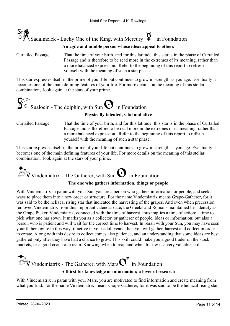

#### An agile and nimble person whose ideas appeal to others

That the time of your birth, and for this latitude, this star is in the phase of Curtailed Passage and is therefore to be read more in the extremes of its meaning, rather than a more balanced expression. Refer to the beginning of this report to refresh yourself with the meaning of such a star phase. Curtailed Passage

This star expresses itself in the prime of your life but continues to grow in strength as you age. Eventually it becomes one of the main defining features of your life. For more details on the meaning of this stellar combination, look again at the stars of your prime.



Physically talented, vital and alive

That the time of your birth, and for this latitude, this star is in the phase of Curtailed Passage and is therefore to be read more in the extremes of its meaning, rather than a more balanced expression. Refer to the beginning of this report to refresh yourself with the meaning of such a star phase. Curtailed Passage

This star expresses itself in the prime of your life but continues to grow in strength as you age. Eventually it becomes one of the main defining features of your life. For more details on the meaning of this stellar combination, look again at the stars of your prime.

 $\mathcal{V}$  Vindemiatrix - The Gatherer, with Sun  $\mathbf{\Theta}$  in Foundation

#### The one who gathers information, things or people

With Vindemiatrix in paran with your Sun you are a person who gathers information or people, and seeks ways to place them into a new order or structure. For the name Vindemiatrix means Grape-Gatherer, for it was said to be the heliacal rising star that indicated the harvesting of the grapes. And even when precession removed Vindemiatrix from this important calendar date, the Greeks and Romans maintained her identity as the Grape Picker. Vindemiatrix, connected with the time of harvest, thus implies a time of action; a time to pick what one has sown. It marks you as a collector, or gatherer of people, ideas or information; but also a person who is patient and will wait for the correct time to harvest. In paran with your Sun, you may have seen your father-figure in this way; if active in your adult years, then you will gather, harvest and collect in order to create. Along with this desire to collect comes also patience, and an understanding that some ideas are best gathered only after they have had a chance to grow. This skill could make you a good trader on the stock markets, or a good coach of a team. Knowing when to reap and when to sow is a very valuable skill.



With Vindemiatrix in paran with your Mars, you are motivated to find information and create meaning from what you find. For the name Vindemiatrix means Grape-Gatherer, for it was said to be the heliacal rising star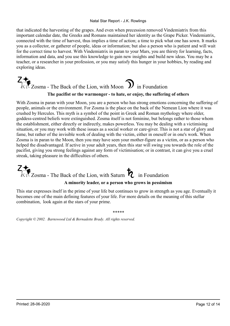#### Natal Star Report - J.K. Rowlings

that indicated the harvesting of the grapes. And even when precession removed Vindemiatrix from this important calendar date, the Greeks and Romans maintained her identity as the Grape Picker. Vindemiatrix, connected with the time of harvest, thus implies a time of action; a time to pick what one has sown. It marks you as a collector, or gatherer of people, ideas or information; but also a person who is patient and will wait for the correct time to harvest. With Vindemiatrix in paran to your Mars, you are thirsty for learning, facts, information and data, and you use this knowledge to gain new insights and build new ideas. You may be a teacher, or a researcher in your profession, or you may satisfy this hunger in your hobbies, by reading and exploring ideas.

### $\widehat{\mathbb{Z}}$ Zosma - The Back of the Lion, with Moon  $\widehat{\mathbb{D}}$  in Foundation The pacifist or the warmonger - to hate, or enjoy, the suffering of others

With Zosma in paran with your Moon, you are a person who has strong emotions concerning the suffering of people, animals or the environment. For Zosma is the place on the back of the Nemean Lion where it was crushed by Hercules. This myth is a symbol of the point in Greek and Roman mythology where older, goddess-centred beliefs were extinguished. Zosma itself is not feminine, but belongs rather to those whom the establishment, either directly or indirectly, makes powerless. You may be dealing with a victimising situation, or you may work with these issues as a social worker or care-giver. This is not a star of glory and fame, but rather of the invisible work of dealing with the victim, either in oneself or in one's work. When Zosma is in paran to the Moon, then you may have seen your mother-figure as a victim, or as a person who helped the disadvantaged. If active in your adult years, then this star will swing you towards the role of the pacifist, giving you strong feelings against any form of victimisation; or in contrast, it can give you a cruel streak, taking pleasure in the difficulties of others.

 $\widehat{\mathbb{Z}}$ Zosma - The Back of the Lion, with Saturn  $\bigotimes$  in Foundation A minority leader, or a person who grows in pessimism

This star expresses itself in the prime of your life but continues to grow in strength as you age. Eventually it becomes one of the main defining features of your life. For more details on the meaning of this stellar combination, look again at the stars of your prime.

\*\*\*\*\*

Copyright © 2002. Barnswood Ltd & Bernadette Brady. All rights reserved.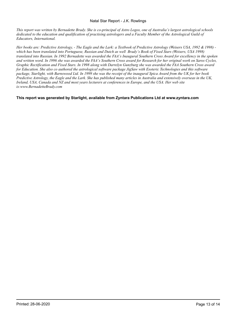#### Natal Star Report - J.K. Rowlings

This report was written by Bernadette Brady. She is co-principal of Astro Logos, one of Australia's largest astrological schools dedicated to the education and qualification of practising astrologers and a Faculty Member of the Astrological Guild of Educators, International.

Her books are: Predictive Astrology, - The Eagle and the Lark: a Textbook of Predictive Astrology (Weisers USA, 1992 & 1998) which has been translated into Portuguese, Russian and Dutch as well Brady's Book of Fixed Stars (Weisers, USA 1998) translated into Russian. In 1992 Bernadette was awarded the FAA's Inaugural Southern Cross Award for excellency in the spoken and written word. In 1996 she was awarded the FAA's Southern Cross award for Research for her original work on Saros Cycles, Graphic Rectification and Fixed Stars. In 1998 along with Darrelyn Gunzburg she was awarded the FAA Southern Cross award for Education. She also co authored the astrological software package JigSaw with Esoteric Technologies and this software package, Starlight, with Barnswood Ltd. In 1999 she was the receipt of the inaugural Spica Award from the UK for her book Predictive Astrology, the Eagle and the Lark. She has published many articles in Australia and extensively overseas in the UK, Ireland, USA, Canada and NZ and most years lecturers at conferences in Europe, and the USA. Her web site is:www.BernadetteBrady.com

This report was generated by Starlight, available from Zyntara Publications Ltd at www.zyntara.com